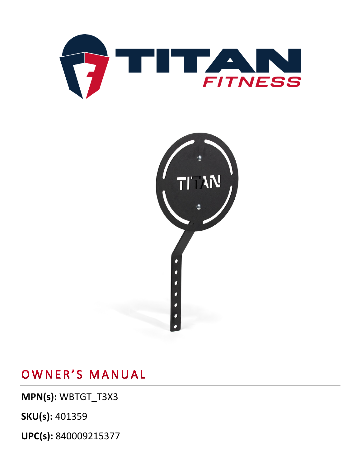



OWNER'S MANUAL

**MPN(s):** WBTGT\_T3X3

**SKU(s):** 401359

**UPC(s):** 840009215377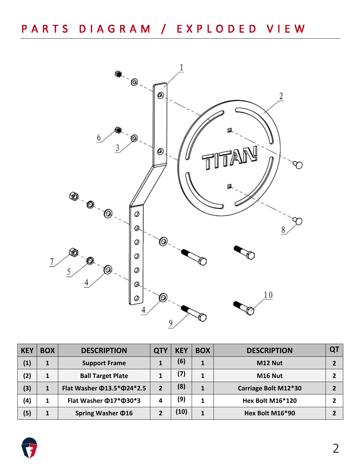

| <b>KEY</b> | <b>BOX</b> | <b>DESCRIPTION</b>                     | QT <sup>v</sup> | <b>KEY</b> | <b>BOX</b> | <b>DESCRIPTION</b>   | QT |
|------------|------------|----------------------------------------|-----------------|------------|------------|----------------------|----|
| (1)        | 1          | <b>Support Frame</b>                   |                 | (6)        | 1          | M12 Nut              |    |
| (2)        | 1          | <b>Ball Target Plate</b>               |                 | (7)        | 1          | M16 Nut              |    |
| (3)        | 1          | Flat Washer $\Phi$ 13.5* $\Phi$ 24*2.5 |                 | (8)        |            | Carriage Bolt M12*30 |    |
| (4)        |            | Flat Washer $\Phi$ 17* $\Phi$ 30*3     | 4               | (9)        |            | Hex Bolt M16*120     |    |
| (5)        | 1          | Spring Washer $\Phi$ 16                |                 | (10)       | 1          | Hex Bolt M16*90      |    |

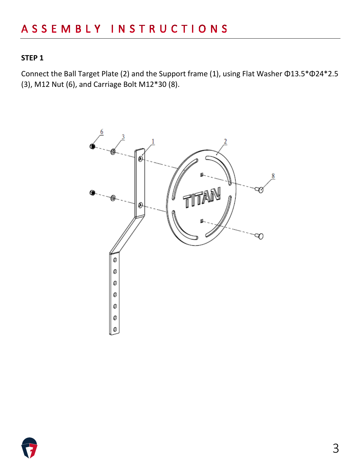#### **STEP 1**

Connect the Ball Target Plate (2) and the Support frame (1), using Flat Washer Φ13.5\*Φ24\*2.5 (3), M12 Nut (6), and Carriage Bolt M12\*30 (8).



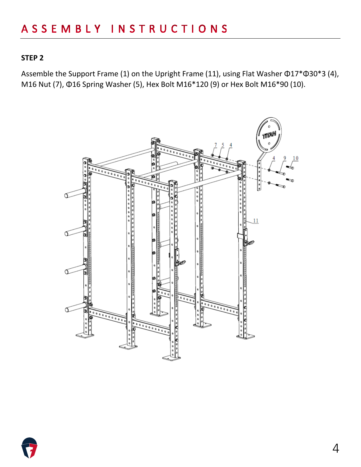#### **STEP 2**

Assemble the Support Frame (1) on the Upright Frame (11), using Flat Washer Φ17\*Φ30\*3 (4), M16 Nut (7), Φ16 Spring Washer (5), Hex Bolt M16\*120 (9) or Hex Bolt M16\*90 (10).